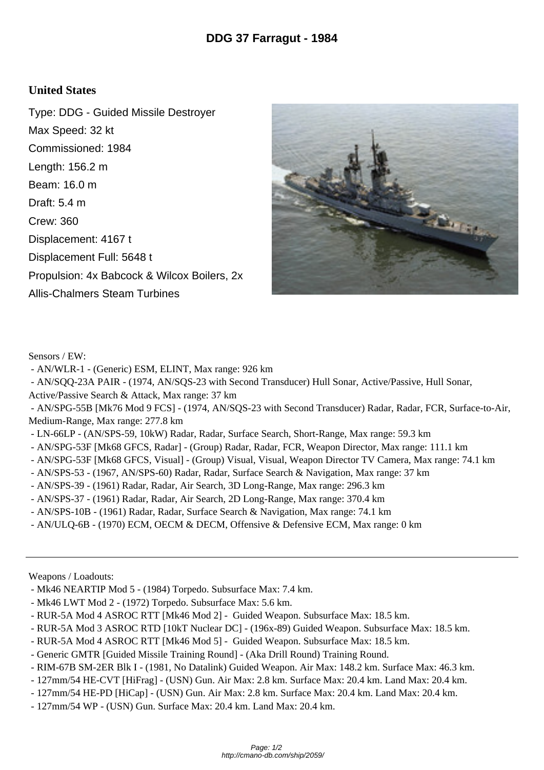## **United States**

Type: DDG - Guided Missile Destroyer Max Speed: 32 kt Commissioned: 1984 Length: 156.2 m Beam: 16.0 m Draft: 5.4 m Crew: 360 Displacement: 4167 t Displacement Full: 5648 t Propulsion: 4x Babcock & Wilcox Boilers, 2x Allis-Chalmers Steam Turbines



Sensors / EW:

- AN/WLR-1 (Generic) ESM, ELINT, Max range: 926 km
- AN/SQQ-23A PAIR (1974, AN/SQS-23 with Second Transducer) Hull Sonar, Active/Passive, Hull Sonar,
- Active/Passive Search & Attack, Max range: 37 km

 - AN/SPG-55B [Mk76 Mod 9 FCS] - (1974, AN/SQS-23 with Second Transducer) Radar, Radar, FCR, Surface-to-Air, Medium-Range, Max range: 277.8 km

- LN-66LP (AN/SPS-59, 10kW) Radar, Radar, Surface Search, Short-Range, Max range: 59.3 km
- AN/SPG-53F [Mk68 GFCS, Radar] (Group) Radar, Radar, FCR, Weapon Director, Max range: 111.1 km
- AN/SPG-53F [Mk68 GFCS, Visual] (Group) Visual, Visual, Weapon Director TV Camera, Max range: 74.1 km
- AN/SPS-53 (1967, AN/SPS-60) Radar, Radar, Surface Search & Navigation, Max range: 37 km
- AN/SPS-39 (1961) Radar, Radar, Air Search, 3D Long-Range, Max range: 296.3 km
- AN/SPS-37 (1961) Radar, Radar, Air Search, 2D Long-Range, Max range: 370.4 km
- AN/SPS-10B (1961) Radar, Radar, Surface Search & Navigation, Max range: 74.1 km
- AN/ULQ-6B (1970) ECM, OECM & DECM, Offensive & Defensive ECM, Max range: 0 km

Weapons / Loadouts:

- Mk46 NEARTIP Mod 5 (1984) Torpedo. Subsurface Max: 7.4 km.
- Mk46 LWT Mod 2 (1972) Torpedo. Subsurface Max: 5.6 km.
- RUR-5A Mod 4 ASROC RTT [Mk46 Mod 2] Guided Weapon. Subsurface Max: 18.5 km.
- RUR-5A Mod 3 ASROC RTD [10kT Nuclear DC] (196x-89) Guided Weapon. Subsurface Max: 18.5 km.
- RUR-5A Mod 4 ASROC RTT [Mk46 Mod 5] Guided Weapon. Subsurface Max: 18.5 km.
- Generic GMTR [Guided Missile Training Round] (Aka Drill Round) Training Round.
- RIM-67B SM-2ER Blk I (1981, No Datalink) Guided Weapon. Air Max: 148.2 km. Surface Max: 46.3 km.
- 127mm/54 HE-CVT [HiFrag] (USN) Gun. Air Max: 2.8 km. Surface Max: 20.4 km. Land Max: 20.4 km.
- 127mm/54 HE-PD [HiCap] (USN) Gun. Air Max: 2.8 km. Surface Max: 20.4 km. Land Max: 20.4 km.
- 127mm/54 WP (USN) Gun. Surface Max: 20.4 km. Land Max: 20.4 km.